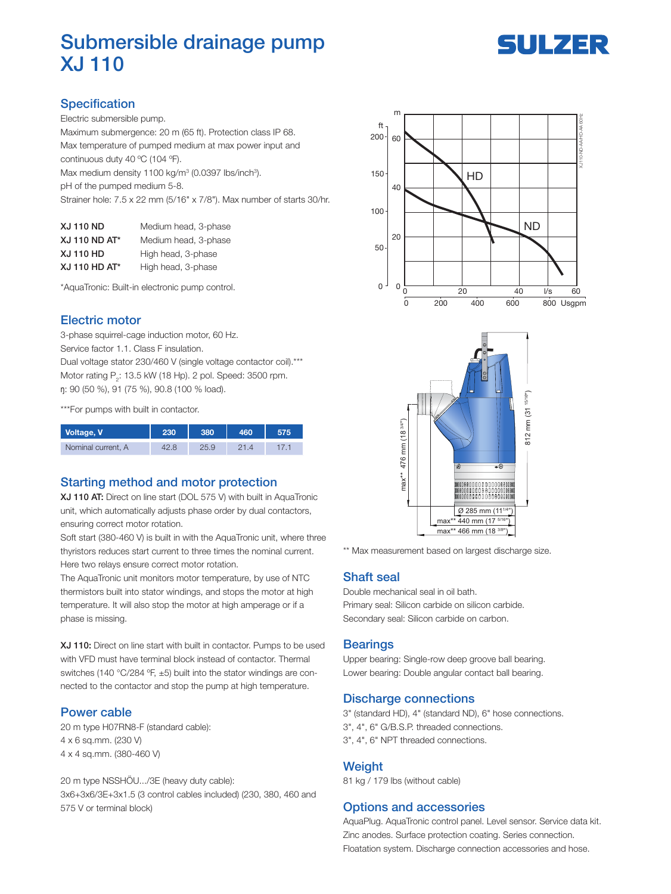# Submersible drainage pump XJ 110



# **Specification**

Electric submersible pump.

Maximum submergence: 20 m (65 ft). Protection class IP 68. Max temperature of pumped medium at max power input and continuous duty 40 ºC (104 ºF).

Max medium density 1100 kg/m<sup>3</sup> (0.0397 lbs/inch<sup>3</sup>).

pH of the pumped medium 5-8.

Strainer hole: 7.5 x 22 mm (5/16" x 7/8"). Max number of starts 30/hr.

| <b>XJ 110 ND</b>     | Medium head, 3-phase |
|----------------------|----------------------|
| <b>XJ 110 ND AT*</b> | Medium head, 3-phase |
| <b>XJ 110 HD</b>     | High head, 3-phase   |
| XJ 110 HD AT*        | High head, 3-phase   |

\*AquaTronic: Built-in electronic pump control.

### Electric motor

3-phase squirrel-cage induction motor, 60 Hz. Service factor 1.1. Class F insulation. Dual voltage stator 230/460 V (single voltage contactor coil).\*\*\* Motor rating  $\mathsf{P}_2$ : 13.5 kW (18 Hp). 2 pol. Speed: 3500 rpm. ŋ: 90 (50 %), 91 (75 %), 90.8 (100 % load).

\*\*\*For pumps with built in contactor.

| Voltage, V         | 230 | 380  | 46በ | 575 |
|--------------------|-----|------|-----|-----|
| Nominal current, A |     | 25.9 |     |     |

## Starting method and motor protection

XJ 110 AT: Direct on line start (DOL 575 V) with built in AquaTronic unit, which automatically adjusts phase order by dual contactors, ensuring correct motor rotation.

Soft start (380-460 V) is built in with the AquaTronic unit, where three thyristors reduces start current to three times the nominal current. Here two relays ensure correct motor rotation.

The AquaTronic unit monitors motor temperature, by use of NTC thermistors built into stator windings, and stops the motor at high temperature. It will also stop the motor at high amperage or if a phase is missing.

XJ 110: Direct on line start with built in contactor. Pumps to be used with VFD must have terminal block instead of contactor. Thermal switches (140 °C/284 ºF, ±5) built into the stator windings are connected to the contactor and stop the pump at high temperature.

#### Power cable

20 m type H07RN8-F (standard cable): 4 x 6 sq.mm. (230 V) 4 x 4 sq.mm. (380-460 V)

20 m type NSSHÖU.../3E (heavy duty cable): 3x6+3x6/3E+3x1.5 (3 control cables included) (230, 380, 460 and 575 V or terminal block)





\*\* Max measurement based on largest discharge size.

#### Shaft seal

Double mechanical seal in oil bath. Primary seal: Silicon carbide on silicon carbide. Secondary seal: Silicon carbide on carbon.

#### **Bearings**

Upper bearing: Single-row deep groove ball bearing. Lower bearing: Double angular contact ball bearing.

#### Discharge connections

3" (standard HD), 4" (standard ND), 6" hose connections. 3", 4", 6" G/B.S.P. threaded connections. 3", 4", 6" NPT threaded connections.

#### **Weight**

81 kg / 179 lbs (without cable)

#### Options and accessories

AquaPlug. AquaTronic control panel. Level sensor. Service data kit. Zinc anodes. Surface protection coating. Series connection. Floatation system. Discharge connection accessories and hose.